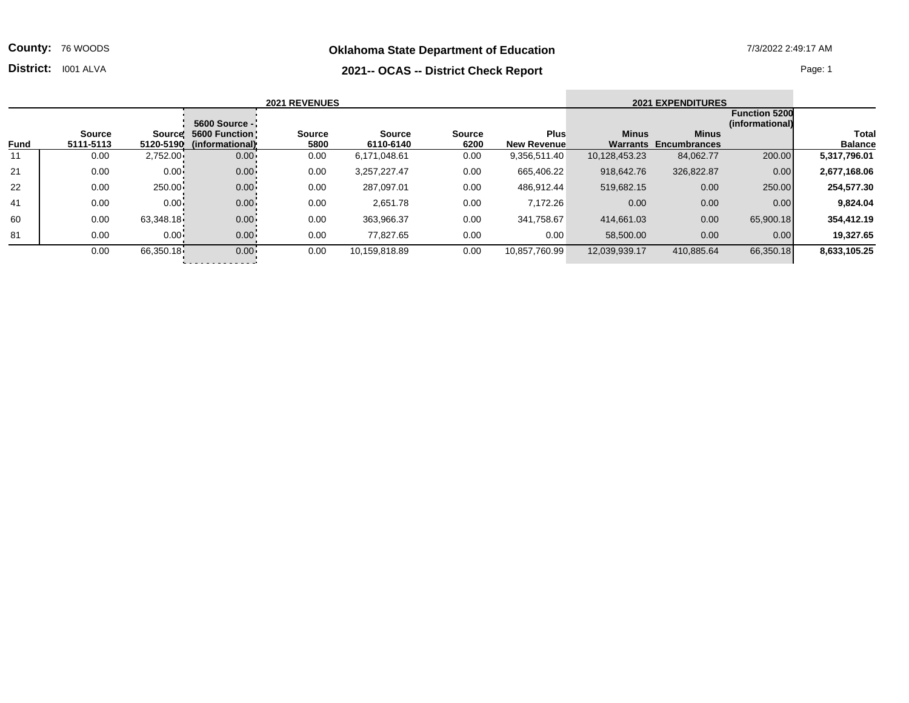**Oklahoma State Department of Education** 7/3/2022 2:49:17 AM

**County:** 76 WOODS

## **District:** 1001 ALVA Page: 1

|             |                            |              |                                                     | <b>2021 REVENUES</b>  |                            |                       |                                   |                          | <b>2021 EXPENDITURES</b>            |                                         |                         |
|-------------|----------------------------|--------------|-----------------------------------------------------|-----------------------|----------------------------|-----------------------|-----------------------------------|--------------------------|-------------------------------------|-----------------------------------------|-------------------------|
|             |                            |              | 5600 Source -                                       |                       |                            |                       |                                   |                          |                                     | <b>Function 5200</b><br>(informational) |                         |
| <b>Fund</b> | <b>Source</b><br>5111-5113 |              | Source! 5600 Function!<br>5120-5190 (informational) | <b>Source</b><br>5800 | <b>Source</b><br>6110-6140 | <b>Source</b><br>6200 | <b>Plus</b><br><b>New Revenue</b> | <b>Minus</b><br>Warrants | <b>Minus</b><br><b>Encumbrances</b> |                                         | Total<br><b>Balance</b> |
| 11          | 0.00                       | $2,752.00 -$ | $0.00 -$                                            | 0.00                  | 6,171,048.61               | 0.00                  | 9,356,511.40                      | 10,128,453.23            | 84,062.77                           | 200.00                                  | 5,317,796.01            |
| 21          | 0.00                       | $0.00 -$     | $0.00 -$                                            | 0.00                  | 3,257,227.47               | 0.00                  | 665,406.22                        | 918.642.76               | 326,822.87                          | 0.00                                    | 2,677,168.06            |
| 22          | 0.00                       | $250.00 -$   | $0.00 -$                                            | 0.00                  | 287.097.01                 | 0.00                  | 486.912.44                        | 519,682.15               | 0.00                                | 250.00                                  | 254,577.30              |
| 41          | 0.00                       | $0.00 -$     | $0.00 -$                                            | 0.00                  | 2,651.78                   | 0.00                  | 7,172.26                          | 0.00                     | 0.00                                | 0.00                                    | 9,824.04                |
| 60          | 0.00                       | 63,348.18    | $0.00 -$                                            | 0.00                  | 363,966.37                 | 0.00                  | 341,758.67                        | 414,661.03               | 0.00                                | 65,900.18                               | 354.412.19              |

81 0.00 0.00 0.00 0.00 77,827.65 0.00 0.00 58,500.00 0.00 0.00 **19,327.65**

0.00 66,350.18 0.00 0.00 10,159,818.89 0.00 10,857,760.99 12,039,939.17 410,885.64 66,350.18 **8,633,105.25**